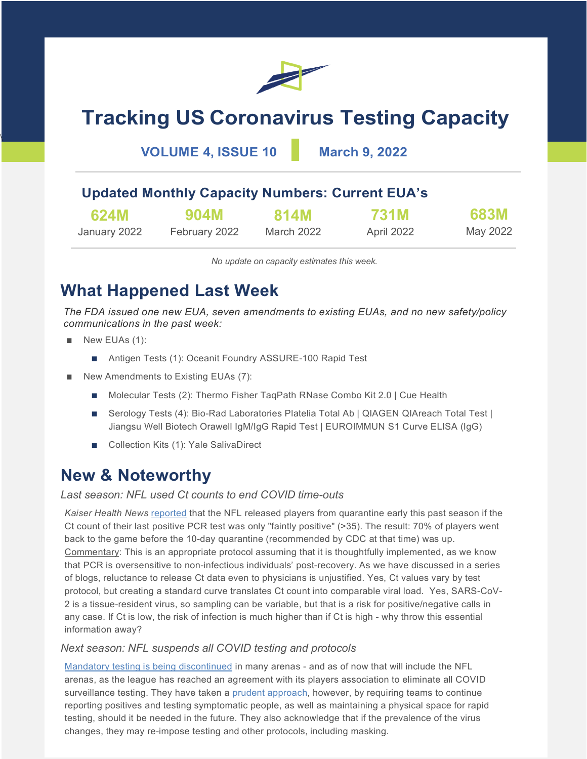

# **Tracking US Coronavirus Testing Capacity**

**VOLUME 4, ISSUE 10 March 9, 2022**

### **Updated Monthly Capacity Numbers: Current EUA's**

| 624M         | 904M          | 814M       | 731M       | <b>683M</b> |
|--------------|---------------|------------|------------|-------------|
| January 2022 | February 2022 | March 2022 | April 2022 | May 2022    |

*No update on capacity estimates this week.*

## **What Happened Last Week**

*The FDA issued one new EUA, seven amendments to existing EUAs, and no new safety/policy communications in the past week:*

■ New EUAs (1):

\

- Antigen Tests (1): Oceanit Foundry ASSURE-100 Rapid Test
- New Amendments to Existing EUAs (7):
	- Molecular Tests (2): Thermo Fisher TaqPath RNase Combo Kit 2.0 | Cue Health
	- Serology Tests (4): Bio-Rad Laboratories Platelia Total Ab | QIAGEN QIAreach Total Test | Jiangsu Well Biotech Orawell IgM/IgG Rapid Test | EUROIMMUN S1 Curve ELISA (IgG)
	- Collection Kits (1): Yale SalivaDirect

### **New & Noteworthy**

#### *Last season: NFL used Ct counts to end COVID time-outs*

*Kaiser Health News* [reported](https://khn.org/news/article/nfl-ct-value-cycle-threshold-covid-test-football-unproven-measure/) that the NFL released players from quarantine early this past season if the Ct count of their last positive PCR test was only "faintly positive" (>35). The result: 70% of players went back to the game before the 10-day quarantine (recommended by CDC at that time) was up. Commentary: This is an appropriate protocol assuming that it is thoughtfully implemented, as we know that PCR is oversensitive to non-infectious individuals' post-recovery. As we have discussed in a series of blogs, reluctance to release Ct data even to physicians is unjustified. Yes, Ct values vary by test protocol, but creating a standard curve translates Ct count into comparable viral load. Yes, SARS-CoV-2 is a tissue-resident virus, so sampling can be variable, but that is a risk for positive/negative calls in any case. If Ct is low, the risk of infection is much higher than if Ct is high - why throw this essential information away?

#### *Next season: NFL suspends all COVID testing and protocols*

[Mandatory testing is being discontinued](https://www.cbssports.com/nfl/news/nfl-reaches-agreement-with-nflpa-to-suspend-all-covid-19-testing-protocols-for-2022/) in many arenas - and as of now that will include the NFL arenas, as the league has reached an agreement with its players association to eliminate all COVID surveillance testing. They have taken a [prudent approach,](https://twitter.com/TomPelissero/status/1499431948946657283?ref_src=twsrc%5Etfw%7Ctwcamp%5Etweetembed%7Ctwterm%5E1499431948946657283%7Ctwgr%5E%7Ctwcon%5Es1_&ref_url=https%3A%2F%2Fwww.cbssports.com%2Fnfl%2Fnews%2Fnfl-reaches-agreement-with-nflpa-to-suspend-all-covid-19-testing-protocols-for-2022%2F) however, by requiring teams to continue reporting positives and testing symptomatic people, as well as maintaining a physical space for rapid testing, should it be needed in the future. They also acknowledge that if the prevalence of the virus changes, they may re-impose testing and other protocols, including masking.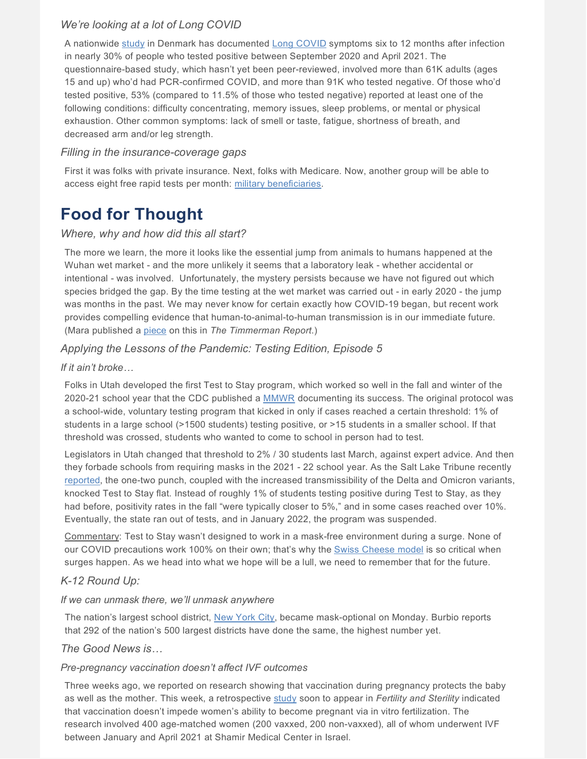#### *We're looking at a lot of Long COVID*

A nationwide [study](https://www.medrxiv.org/content/10.1101/2022.02.27.22271328v1.full.pdf) in Denmark has documented [Long COVID](https://www.who.int/publications/i/item/WHO-2019-nCoV-Post_COVID-19_condition-Clinical_case_definition-2021.1) symptoms six to 12 months after infection in nearly 30% of people who tested positive between September 2020 and April 2021. The questionnaire-based study, which hasn't yet been peer-reviewed, involved more than 61K adults (ages 15 and up) who'd had PCR-confirmed COVID, and more than 91K who tested negative. Of those who'd tested positive, 53% (compared to 11.5% of those who tested negative) reported at least one of the following conditions: difficulty concentrating, memory issues, sleep problems, or mental or physical exhaustion. Other common symptoms: lack of smell or taste, fatigue, shortness of breath, and decreased arm and/or leg strength.

#### *Filling in the insurance-coverage gaps*

First it was folks with private insurance. Next, folks with Medicare. Now, another group will be able to access eight free rapid tests per month: [military beneficiaries.](https://www.defense.gov/News/Releases/Release/Article/2945793/defense-department-announces-distribution-of-covid-19-tests-for-military-benefi/)

### **Food for Thought**

#### *Where, why and how did this all start?*

The more we learn, the more it looks like the essential jump from animals to humans happened at the Wuhan wet market - and the more unlikely it seems that a laboratory leak - whether accidental or intentional - was involved. Unfortunately, the mystery persists because we have not figured out which species bridged the gap. By the time testing at the wet market was carried out - in early 2020 - the jump was months in the past. We may never know for certain exactly how COVID-19 began, but recent work provides compelling evidence that human-to-animal-to-human transmission is in our immediate future. (Mara published a [piece](https://timmermanreport.com/2022/03/sars-cov-2-where-did-it-come-from-and-where-does-it-go-next/) on this in *The Timmerman Report*.)

#### *Applying the Lessons of the Pandemic: Testing Edition, Episode 5*

#### *If it ain't broke…*

Folks in Utah developed the first Test to Stay program, which worked so well in the fall and winter of the 2020-21 school year that the CDC published a [MMWR](https://www.cdc.gov/mmwr/volumes/70/wr/mm7021e2.htm) documenting its success. The original protocol was a school-wide, voluntary testing program that kicked in only if cases reached a certain threshold: 1% of students in a large school (>1500 students) testing positive, or >15 students in a smaller school. If that threshold was crossed, students who wanted to come to school in person had to test.

Legislators in Utah changed that threshold to 2% / 30 students last March, against expert advice. And then they forbade schools from requiring masks in the 2021 - 22 school year. As the Salt Lake Tribune recently [reported,](https://www.sltrib.com/news/2022/03/07/heres-why-utahs-covid/) the one-two punch, coupled with the increased transmissibility of the Delta and Omicron variants, knocked Test to Stay flat. Instead of roughly 1% of students testing positive during Test to Stay, as they had before, positivity rates in the fall "were typically closer to 5%," and in some cases reached over 10%. Eventually, the state ran out of tests, and in January 2022, the program was suspended.

Commentary: Test to Stay wasn't designed to work in a mask-free environment during a surge. None of our COVID precautions work 100% on their own; that's why the [Swiss Cheese model](https://www.nytimes.com/2020/12/05/health/coronavirus-swiss-cheese-infection-mackay.html) is so critical when surges happen. As we head into what we hope will be a lull, we need to remember that for the future.

#### *K-12 Round Up:*

#### *If we can unmask there, we'll unmask anywhere*

The nation's largest school district, [New York City,](https://ny.chalkbeat.org/2022/3/4/22961614/nyc-schools-end-mask-mandate) became mask-optional on Monday. Burbio reports that 292 of the nation's 500 largest districts have done the same, the highest number yet.

#### *The Good News is…*

#### *Pre-pregnancy vaccination doesn't affect IVF outcomes*

Three weeks ago, we reported on research showing that vaccination during pregnancy protects the baby as well as the mother. This week, a retrospective [study](https://www.fertstert.org/article/S0015-0282(22)00144-3/pdf) soon to appear in *Fertility and Sterility* indicated that vaccination doesn't impede women's ability to become pregnant via in vitro fertilization. The research involved 400 age-matched women (200 vaxxed, 200 non-vaxxed), all of whom underwent IVF between January and April 2021 at Shamir Medical Center in Israel.